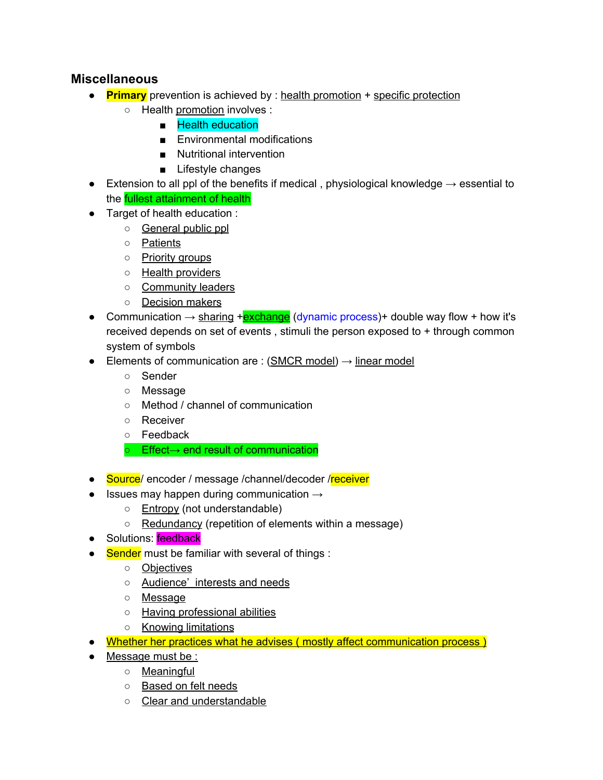## **Miscellaneous**

- **Primary** prevention is achieved by : health promotion + specific protection
	- Health promotion involves :
		- Health education
		- Environmental modifications
		- Nutritional intervention
		- Lifestyle changes
- $\bullet$  Extension to all ppl of the benefits if medical, physiological knowledge  $\rightarrow$  essential to the fullest attainment of health
- Target of health education :
	- General public ppl
	- Patients
	- Priority groups
	- Health providers
	- Community leaders
	- Decision makers
- Communication  $\rightarrow$  sharing +**exchange** (dynamic process)+ double way flow + how it's received depends on set of events , stimuli the person exposed to + through common system of symbols
- $\bullet$  Elements of communication are : (SMCR model)  $\rightarrow$  linear model
	- Sender
	- Message
	- Method / channel of communication
	- Receiver
	- Feedback
	- Effect→ end result of communication
- Source/ encoder / message /channel/decoder /receiver
- $\bullet$  Issues may happen during communication  $\rightarrow$ 
	- Entropy (not understandable)
	- Redundancy (repetition of elements within a message)
- Solutions: feedback
- Sender must be familiar with several of things :
	- Objectives
	- Audience' interests and needs
	- Message
	- o Having professional abilities
	- Knowing limitations
- Whether her practices what he advises (mostly affect communication process)
- Message must be :
	- Meaningful
	- Based on felt needs
	- Clear and understandable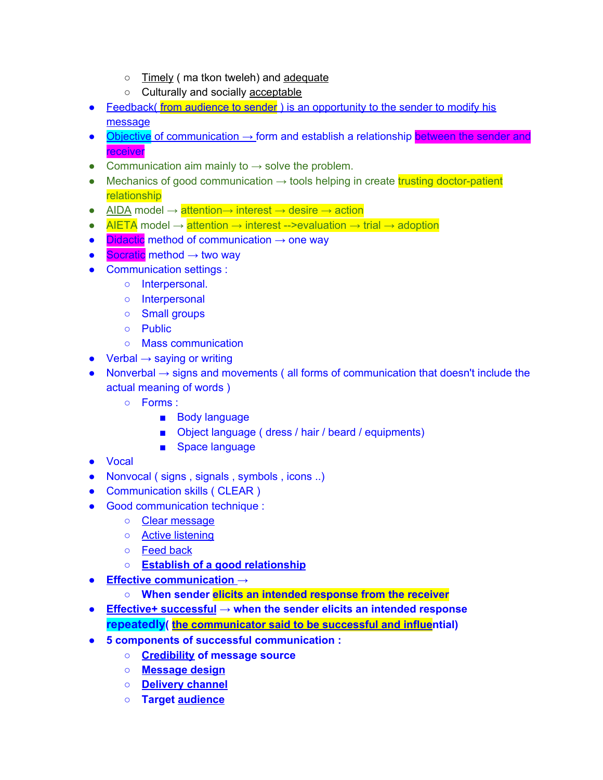- Timely ( ma tkon tweleh) and adequate
- o Culturally and socially acceptable
- Feedback( from audience to sender) is an opportunity to the sender to modify his message
- $\bullet$  Objective of communication  $\rightarrow$  form and establish a relationship between the sender and receiver
- Communication aim mainly to  $\rightarrow$  solve the problem.
- Mechanics of good communication  $\rightarrow$  tools helping in create trusting doctor-patient relationship
- AIDA model  $\rightarrow$  attention $\rightarrow$  interest  $\rightarrow$  desire  $\rightarrow$  action
- AIETA model  $\rightarrow$  attention  $\rightarrow$  interest -->evaluation  $\rightarrow$  trial  $\rightarrow$  adoption
- $\bullet$  Didactic method of communication  $\rightarrow$  one way
- $\bullet$  Socratic method  $\rightarrow$  two way
- Communication settings :
	- Interpersonal.
	- Interpersonal
	- Small groups
	- Public
	- Mass communication
- $\bullet$  Verbal  $\rightarrow$  saying or writing
- $\bullet$  Nonverbal  $\rightarrow$  signs and movements (all forms of communication that doesn't include the actual meaning of words )
	- Forms :
		- Body language
		- Object language ( dress / hair / beard / equipments)
		- Space language
- Vocal
- Nonvocal ( signs, signals, symbols, icons ..)
- Communication skills ( CLEAR )
- Good communication technique :
	- Clear message
	- Active listening
	- Feed back
	- **○ Establish of a good relationship**
- **● Effective communication →**
	- **○ When sender elicits an intended response from the receiver**
- **● Effective+ successful → when the sender elicits an intended response repeatedly( the communicator said to be successful and influential)**
- **● 5 components of successful communication :**
	- **○ Credibility of message source**
	- **○ Message design**
	- **○ Delivery channel**
	- **○ Target audience**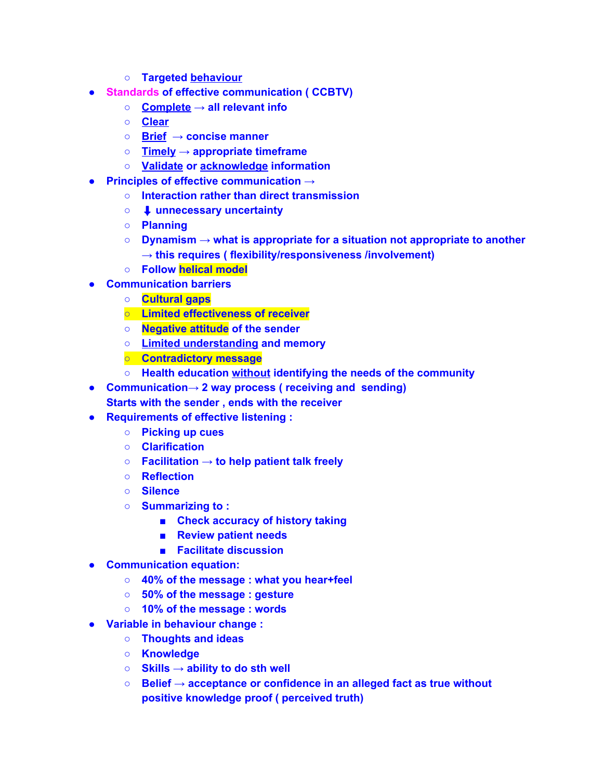- **○ Targeted behaviour**
- **● Standards of effective communication ( CCBTV)**
	- **○ Complete → all relevant info**
	- **○ Clear**
	- **○ Brief → concise manner**
	- **○ Timely → appropriate timeframe**
	- **○ Validate or acknowledge information**
- **● Principles of effective communication →**
	- **○ Interaction rather than direct transmission**
	- **○** ⬇ **unnecessary uncertainty**
	- **○ Planning**
	- **○ Dynamism → what is appropriate for a situation not appropriate to another → this requires ( flexibility/responsiveness /involvement)**
	- **○ Follow helical model**
- **● Communication barriers**
	- **○ Cultural gaps**
	- **○ Limited effectiveness of receiver**
	- **○ Negative attitude of the sender**
	- **○ Limited understanding and memory**
	- **○ Contradictory message**
	- **○ Health education without identifying the needs of the community**
- **● Communication→ 2 way process ( receiving and sending)**
	- **Starts with the sender , ends with the receiver**
- **● Requirements of effective listening :**
	- **○ Picking up cues**
	- **○ Clarification**
	- **○ Facilitation → to help patient talk freely**
	- **○ Reflection**
	- **○ Silence**
	- **○ Summarizing to :**
		- **■ Check accuracy of history taking**
		- **■ Review patient needs**
		- **■ Facilitate discussion**
- **● Communication equation:**
	- **○ 40% of the message : what you hear+feel**
	- **○ 50% of the message : gesture**
	- **○ 10% of the message : words**
- **● Variable in behaviour change :**
	- **○ Thoughts and ideas**
	- **○ Knowledge**
	- **○ Skills → ability to do sth well**
	- **○ Belief → acceptance or confidence in an alleged fact as true without positive knowledge proof ( perceived truth)**